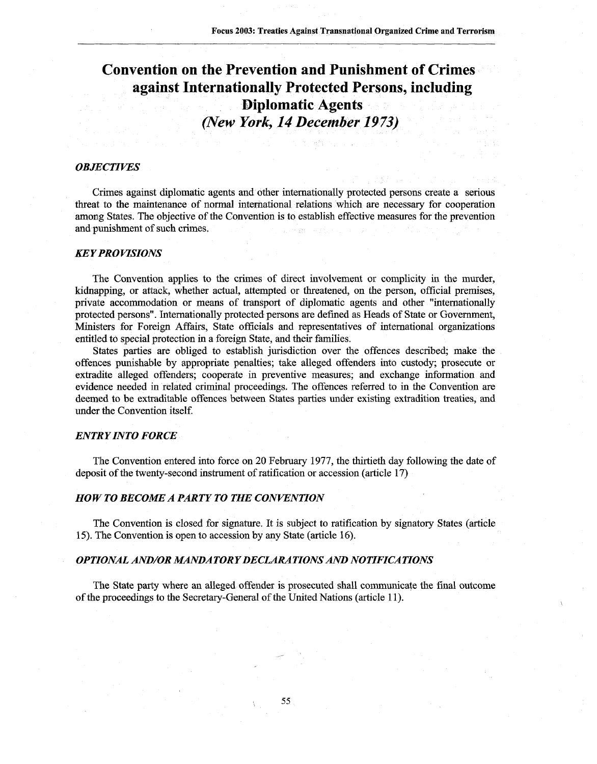# **Convention on the Prevention and Punishment of Crimes against Internationally Protected Persons, including Diplomatic Agents** *(New York, 14 December 1973)*

## *OBJECTIVES*

Crimes against diplomatic agents and other internationally protected persons create a serious threat to the maintenance of normal international relations which are necessary for cooperation among States. The objective of the Convention is to establish effective measures for the prevention and punishment of such crimes.

## *KEY PROVISIONS*

The Convention applies to the crimes of direct involvement or complicity in the murder, kidnapping, or attack, whether actual, attempted or threatened, on the person, official premises, private accommodation or means of transport of diplomatic agents and other "internationally protected persons". Internationally protected persons are defined as Heads of State or Government, Ministers for Foreign Affairs, State officials and representatives of international organizations entitled to special protection in a foreign State, and their families.

States parties are obliged to establish jurisdiction over the offences described; make the offences punishable by appropriate penalties; take alleged offenders into custody; prosecute or extradite alleged offenders; cooperate in preventive measures; and exchange information and evidence needed in related criminal proceedings. The offences referred to in the Convention are deemed to be extraditable offences between States parties under existing extradition treaties, and under the Convention itself.

#### *ENTRY INTO FORCE*

The Convention entered into force on 20 February 1977, the thirtieth day following the date of deposit of the twenty-second instrument of ratification or accession (article 17)

#### *HOW TO BECOME A PARTY TO THE CONVENTION*

The Convention is closed for signature. It is subject to ratification by signatory States (article 15). The Convention is open to accession by any State (article 16).

#### *OPTIONAL AND/OR MANDATORY DECLARATIONS AND NOTIFICATIONS*

The State party where an alleged offender is prosecuted shall communicate the final outcome of the proceedings to the Secretary-General of the United Nations (article 11).